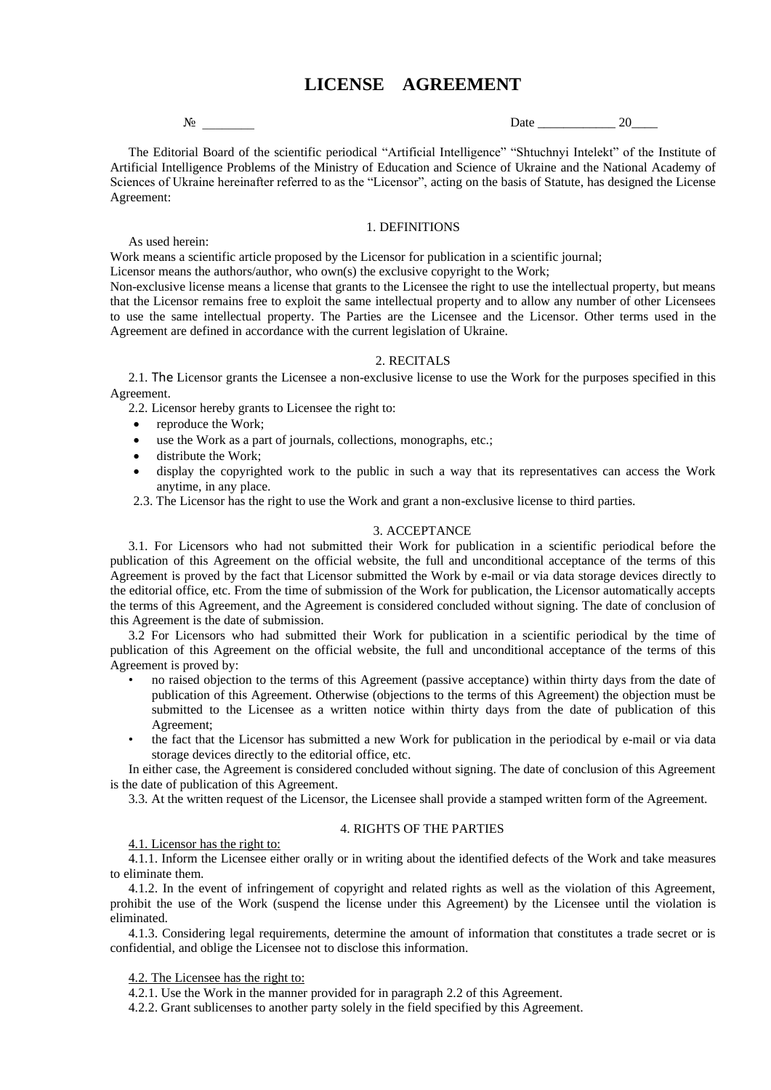# **LICENSE AGREEMENT**

 $\mathbb{N}_{\mathbb{Q}}$  Date  $20$ 

The Editorial Board of the scientific periodical "Artificial Intelligence" "Shtuchnyi Intelekt" of the Institute of Artificial Intelligence Problems of the Ministry of Education and Science of Ukraine and the National Academy of Sciences of Ukraine hereinafter referred to as the "Licensor", acting on the basis of Statute, has designed the License Agreement:

## 1. DEFINITIONS

Work means a scientific article proposed by the Licensor for publication in a scientific journal;

Licensor means the authors/author, who own(s) the exclusive copyright to the Work;

Non-exclusive license means a license that grants to the Licensee the right to use the intellectual property, but means that the Licensor remains free to exploit the same intellectual property and to allow any number of other Licensees to use the same intellectual property. The Parties are the Licensee and the Licensor. Other terms used in the Agreement are defined in accordance with the current legislation of Ukraine.

# 2. RECITALS

2.1. The Licensor grants the Licensee a non-exclusive license to use the Work for the purposes specified in this Agreement.

2.2. Licensor hereby grants to Licensee the right to:

• reproduce the Work;

As used herein:

- use the Work as a part of journals, collections, monographs, etc.;
- distribute the Work;
- display the copyrighted work to the public in such a way that its representatives can access the Work anytime, in any place.

2.3. The Licensor has the right to use the Work and grant a non-exclusive license to third parties.

## 3. ACCEPTANCE

3.1. For Licensors who had not submitted their Work for publication in a scientific periodical before the publication of this Agreement on the official website, the full and unconditional acceptance of the terms of this Agreement is proved by the fact that Licensor submitted the Work by e-mail or via data storage devices directly to the editorial office, etc. From the time of submission of the Work for publication, the Licensor automatically accepts the terms of this Agreement, and the Agreement is considered concluded without signing. The date of conclusion of this Agreement is the date of submission.

3.2 For Licensors who had submitted their Work for publication in a scientific periodical by the time of publication of this Agreement on the official website, the full and unconditional acceptance of the terms of this Agreement is proved by:

- no raised objection to the terms of this Agreement (passive acceptance) within thirty days from the date of publication of this Agreement. Otherwise (objections to the terms of this Agreement) the objection must be submitted to the Licensee as a written notice within thirty days from the date of publication of this Agreement;
- the fact that the Licensor has submitted a new Work for publication in the periodical by e-mail or via data storage devices directly to the editorial office, etc.

In either case, the Agreement is considered concluded without signing. The date of conclusion of this Agreement is the date of publication of this Agreement.

3.3. At the written request of the Licensor, the Licensee shall provide a stamped written form of the Agreement.

# 4. RIGHTS OF THE PARTIES

4.1. Licensor has the right to:

4.1.1. Inform the Licensee either orally or in writing about the identified defects of the Work and take measures to eliminate them.

4.1.2. In the event of infringement of copyright and related rights as well as the violation of this Agreement, prohibit the use of the Work (suspend the license under this Agreement) by the Licensee until the violation is eliminated.

4.1.3. Considering legal requirements, determine the amount of information that constitutes a trade secret or is confidential, and oblige the Licensee not to disclose this information.

4.2. The Licensee has the right to:

4.2.1. Use the Work in the manner provided for in paragraph 2.2 of this Agreement.

4.2.2. Grant sublicenses to another party solely in the field specified by this Agreement.